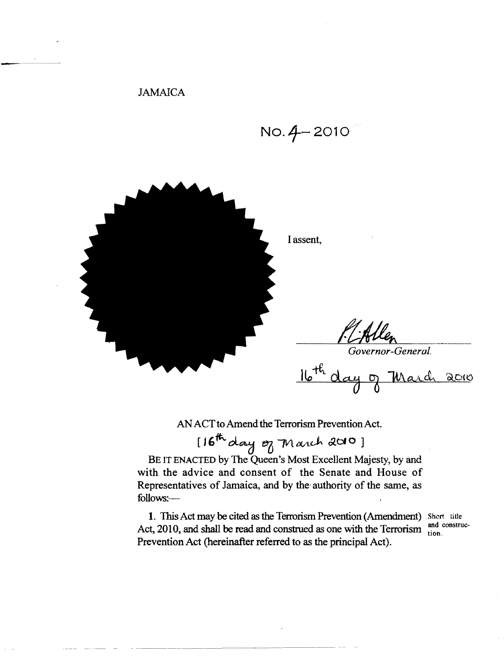JAMAICA

 $NO.4 - 2010$ 



AN ACT to Amend the Terrorism Prevention Act.

[16th day of March 2010]

BE IT ENACTED by The Queen's Most Excellent Majesty, by and with the advice and consent of the Senate and House of Representatives of Jamaica, and by the' authority of the same, as follows:

1. This Act may be cited as the Terrorism Prevention (Amendment) Short title Act, 2010, and shall be read and construct as one with the Terrorism tion. Prevention Act (hereinafter referred to as the principal Act).